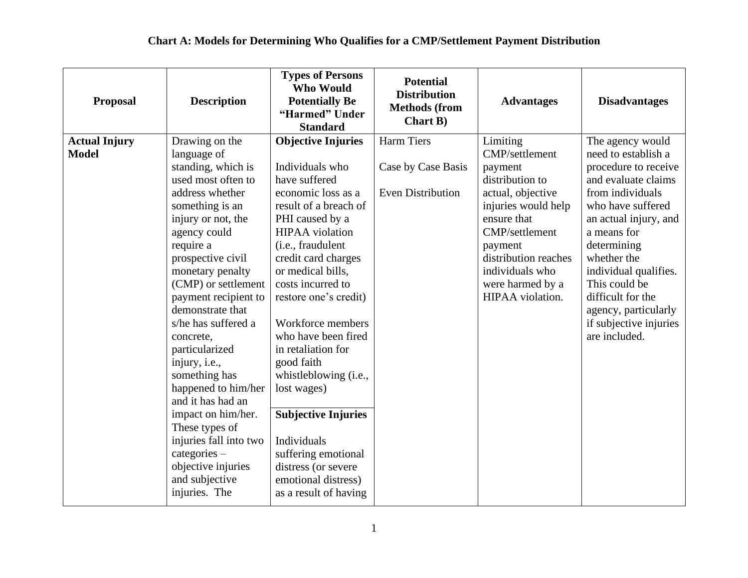| <b>Proposal</b>                      | <b>Description</b>                                                                                                                                                                                                                                                                                                                                                                                                                                                                                                                                            | <b>Types of Persons</b><br><b>Who Would</b><br><b>Potentially Be</b><br>"Harmed" Under<br><b>Standard</b>                                                                                                                                                                                                                                                                                                                                                                                                                                   | <b>Potential</b><br><b>Distribution</b><br><b>Methods (from</b><br><b>Chart B)</b> | <b>Advantages</b>                                                                                                                                                                                                                   | <b>Disadvantages</b>                                                                                                                                                                                                                                                                                                                    |
|--------------------------------------|---------------------------------------------------------------------------------------------------------------------------------------------------------------------------------------------------------------------------------------------------------------------------------------------------------------------------------------------------------------------------------------------------------------------------------------------------------------------------------------------------------------------------------------------------------------|---------------------------------------------------------------------------------------------------------------------------------------------------------------------------------------------------------------------------------------------------------------------------------------------------------------------------------------------------------------------------------------------------------------------------------------------------------------------------------------------------------------------------------------------|------------------------------------------------------------------------------------|-------------------------------------------------------------------------------------------------------------------------------------------------------------------------------------------------------------------------------------|-----------------------------------------------------------------------------------------------------------------------------------------------------------------------------------------------------------------------------------------------------------------------------------------------------------------------------------------|
| <b>Actual Injury</b><br><b>Model</b> | Drawing on the<br>language of<br>standing, which is<br>used most often to<br>address whether<br>something is an<br>injury or not, the<br>agency could<br>require a<br>prospective civil<br>monetary penalty<br>(CMP) or settlement<br>payment recipient to<br>demonstrate that<br>s/he has suffered a<br>concrete,<br>particularized<br>injury, i.e.,<br>something has<br>happened to him/her<br>and it has had an<br>impact on him/her.<br>These types of<br>injuries fall into two<br>categories –<br>objective injuries<br>and subjective<br>injuries. The | <b>Objective Injuries</b><br>Individuals who<br>have suffered<br>economic loss as a<br>result of a breach of<br>PHI caused by a<br><b>HIPAA</b> violation<br>(i.e., fraudulent<br>credit card charges<br>or medical bills,<br>costs incurred to<br>restore one's credit)<br>Workforce members<br>who have been fired<br>in retaliation for<br>good faith<br>whistleblowing (i.e.,<br>lost wages)<br><b>Subjective Injuries</b><br>Individuals<br>suffering emotional<br>distress (or severe<br>emotional distress)<br>as a result of having | <b>Harm Tiers</b><br>Case by Case Basis<br><b>Even Distribution</b>                | Limiting<br>CMP/settlement<br>payment<br>distribution to<br>actual, objective<br>injuries would help<br>ensure that<br>CMP/settlement<br>payment<br>distribution reaches<br>individuals who<br>were harmed by a<br>HIPAA violation. | The agency would<br>need to establish a<br>procedure to receive<br>and evaluate claims<br>from individuals<br>who have suffered<br>an actual injury, and<br>a means for<br>determining<br>whether the<br>individual qualifies.<br>This could be<br>difficult for the<br>agency, particularly<br>if subjective injuries<br>are included. |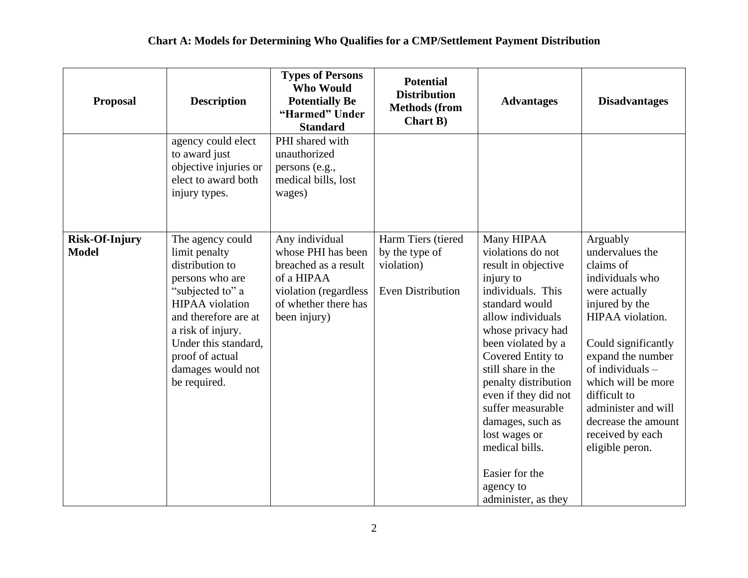| <b>Proposal</b>                       | <b>Description</b>                                                                                                                                                                                                                                 | <b>Types of Persons</b><br><b>Who Would</b><br><b>Potentially Be</b><br>"Harmed" Under<br><b>Standard</b>                                   | <b>Potential</b><br><b>Distribution</b><br><b>Methods (from</b><br><b>Chart B)</b> | <b>Advantages</b>                                                                                                                                                                                                                                                                                                                                                                                       | <b>Disadvantages</b>                                                                                                                                                                                                                                                                                            |
|---------------------------------------|----------------------------------------------------------------------------------------------------------------------------------------------------------------------------------------------------------------------------------------------------|---------------------------------------------------------------------------------------------------------------------------------------------|------------------------------------------------------------------------------------|---------------------------------------------------------------------------------------------------------------------------------------------------------------------------------------------------------------------------------------------------------------------------------------------------------------------------------------------------------------------------------------------------------|-----------------------------------------------------------------------------------------------------------------------------------------------------------------------------------------------------------------------------------------------------------------------------------------------------------------|
|                                       | agency could elect<br>to award just<br>objective injuries or<br>elect to award both<br>injury types.                                                                                                                                               | PHI shared with<br>unauthorized<br>persons (e.g.,<br>medical bills, lost<br>wages)                                                          |                                                                                    |                                                                                                                                                                                                                                                                                                                                                                                                         |                                                                                                                                                                                                                                                                                                                 |
| <b>Risk-Of-Injury</b><br><b>Model</b> | The agency could<br>limit penalty<br>distribution to<br>persons who are<br>"subjected to" a<br><b>HIPAA</b> violation<br>and therefore are at<br>a risk of injury.<br>Under this standard,<br>proof of actual<br>damages would not<br>be required. | Any individual<br>whose PHI has been<br>breached as a result<br>of a HIPAA<br>violation (regardless<br>of whether there has<br>been injury) | Harm Tiers (tiered<br>by the type of<br>violation)<br><b>Even Distribution</b>     | Many HIPAA<br>violations do not<br>result in objective<br>injury to<br>individuals. This<br>standard would<br>allow individuals<br>whose privacy had<br>been violated by a<br>Covered Entity to<br>still share in the<br>penalty distribution<br>even if they did not<br>suffer measurable<br>damages, such as<br>lost wages or<br>medical bills.<br>Easier for the<br>agency to<br>administer, as they | Arguably<br>undervalues the<br>claims of<br>individuals who<br>were actually<br>injured by the<br>HIPAA violation.<br>Could significantly<br>expand the number<br>of individuals $-$<br>which will be more<br>difficult to<br>administer and will<br>decrease the amount<br>received by each<br>eligible peron. |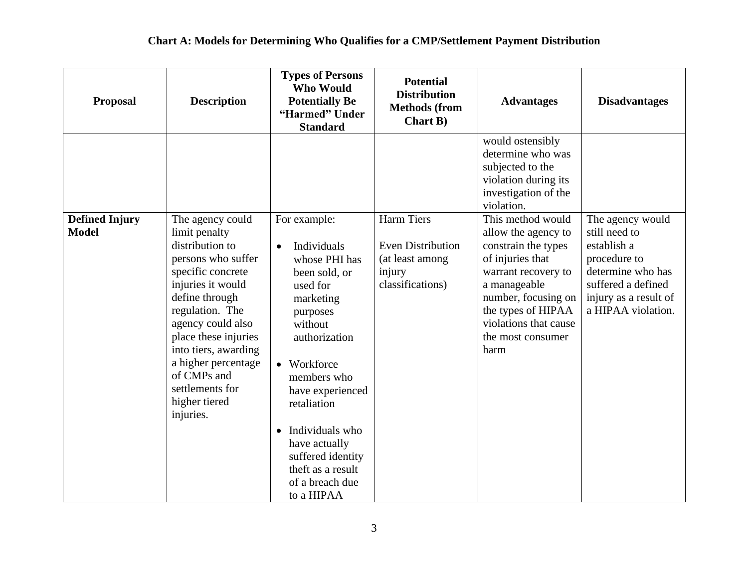| <b>Proposal</b>       | <b>Description</b>                                                                                                                                                                                                                                                                                | <b>Types of Persons</b><br><b>Who Would</b><br><b>Potentially Be</b><br>"Harmed" Under<br><b>Standard</b>                                                                                                                                                                                                     | <b>Potential</b><br><b>Distribution</b><br><b>Methods (from</b><br><b>Chart B)</b> | <b>Advantages</b>                                                                                                                                                                                        | <b>Disadvantages</b>                                                                                                                   |
|-----------------------|---------------------------------------------------------------------------------------------------------------------------------------------------------------------------------------------------------------------------------------------------------------------------------------------------|---------------------------------------------------------------------------------------------------------------------------------------------------------------------------------------------------------------------------------------------------------------------------------------------------------------|------------------------------------------------------------------------------------|----------------------------------------------------------------------------------------------------------------------------------------------------------------------------------------------------------|----------------------------------------------------------------------------------------------------------------------------------------|
| <b>Defined Injury</b> | The agency could                                                                                                                                                                                                                                                                                  | For example:                                                                                                                                                                                                                                                                                                  | <b>Harm Tiers</b>                                                                  | would ostensibly<br>determine who was<br>subjected to the<br>violation during its<br>investigation of the<br>violation.<br>This method would                                                             | The agency would                                                                                                                       |
| <b>Model</b>          | limit penalty<br>distribution to<br>persons who suffer<br>specific concrete<br>injuries it would<br>define through<br>regulation. The<br>agency could also<br>place these injuries<br>into tiers, awarding<br>a higher percentage<br>of CMPs and<br>settlements for<br>higher tiered<br>injuries. | Individuals<br>$\bullet$<br>whose PHI has<br>been sold, or<br>used for<br>marketing<br>purposes<br>without<br>authorization<br>• Workforce<br>members who<br>have experienced<br>retaliation<br>• Individuals who<br>have actually<br>suffered identity<br>theft as a result<br>of a breach due<br>to a HIPAA | <b>Even Distribution</b><br>(at least among<br>injury<br>classifications)          | allow the agency to<br>constrain the types<br>of injuries that<br>warrant recovery to<br>a manageable<br>number, focusing on<br>the types of HIPAA<br>violations that cause<br>the most consumer<br>harm | still need to<br>establish a<br>procedure to<br>determine who has<br>suffered a defined<br>injury as a result of<br>a HIPAA violation. |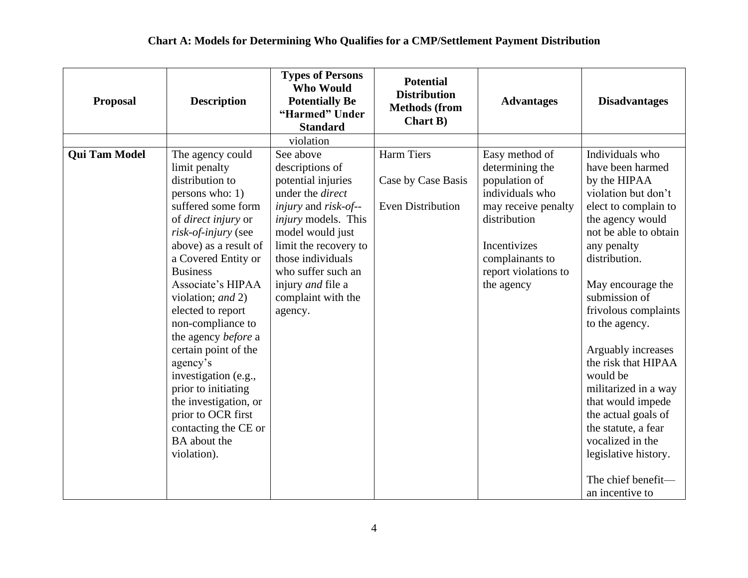| <b>Proposal</b>      | <b>Description</b>                                                                                                                                                                                                                                                                                                                                                                                                                                                                                                        | <b>Types of Persons</b><br><b>Who Would</b><br><b>Potentially Be</b><br>"Harmed" Under<br><b>Standard</b>                                                                                                                                                                                              | <b>Potential</b><br><b>Distribution</b><br><b>Methods (from</b><br><b>Chart B)</b> | <b>Advantages</b>                                                                                                                                                                     | <b>Disadvantages</b>                                                                                                                                                                                                                                                                                                                                                                                                                                                                                     |
|----------------------|---------------------------------------------------------------------------------------------------------------------------------------------------------------------------------------------------------------------------------------------------------------------------------------------------------------------------------------------------------------------------------------------------------------------------------------------------------------------------------------------------------------------------|--------------------------------------------------------------------------------------------------------------------------------------------------------------------------------------------------------------------------------------------------------------------------------------------------------|------------------------------------------------------------------------------------|---------------------------------------------------------------------------------------------------------------------------------------------------------------------------------------|----------------------------------------------------------------------------------------------------------------------------------------------------------------------------------------------------------------------------------------------------------------------------------------------------------------------------------------------------------------------------------------------------------------------------------------------------------------------------------------------------------|
|                      |                                                                                                                                                                                                                                                                                                                                                                                                                                                                                                                           | violation                                                                                                                                                                                                                                                                                              |                                                                                    |                                                                                                                                                                                       |                                                                                                                                                                                                                                                                                                                                                                                                                                                                                                          |
| <b>Qui Tam Model</b> | The agency could<br>limit penalty<br>distribution to<br>persons who: 1)<br>suffered some form<br>of direct injury or<br>risk-of-injury (see<br>above) as a result of<br>a Covered Entity or<br><b>Business</b><br>Associate's HIPAA<br>violation; and 2)<br>elected to report<br>non-compliance to<br>the agency before a<br>certain point of the<br>agency's<br>investigation (e.g.,<br>prior to initiating<br>the investigation, or<br>prior to OCR first<br>contacting the CE or<br><b>BA</b> about the<br>violation). | See above<br>descriptions of<br>potential injuries<br>under the <i>direct</i><br><i>injury</i> and <i>risk-of--</i><br><i>injury</i> models. This<br>model would just<br>limit the recovery to<br>those individuals<br>who suffer such an<br>injury <i>and</i> file a<br>complaint with the<br>agency. | <b>Harm Tiers</b><br>Case by Case Basis<br><b>Even Distribution</b>                | Easy method of<br>determining the<br>population of<br>individuals who<br>may receive penalty<br>distribution<br>Incentivizes<br>complainants to<br>report violations to<br>the agency | Individuals who<br>have been harmed<br>by the HIPAA<br>violation but don't<br>elect to complain to<br>the agency would<br>not be able to obtain<br>any penalty<br>distribution.<br>May encourage the<br>submission of<br>frivolous complaints<br>to the agency.<br>Arguably increases<br>the risk that HIPAA<br>would be<br>militarized in a way<br>that would impede<br>the actual goals of<br>the statute, a fear<br>vocalized in the<br>legislative history.<br>The chief benefit-<br>an incentive to |